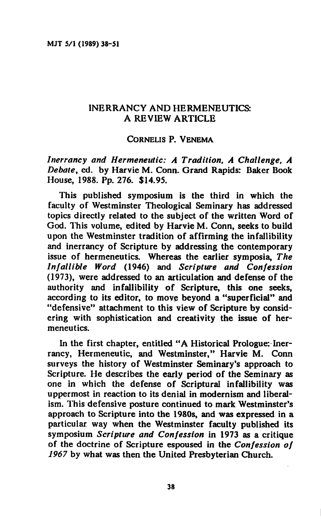# **INERRANCY AND HERMENEUTICS: A REVIEW ARTICLE**

## **CORNELIS P. VENEMA**

*Inerrancy and Hermeneutici A Tradition, A Challenge, A Debate,* **ed. by Harvie M. Conn. Grand Rapids: Baker Book House, 1988. Pp. 276. \$14.95.** 

**This published symposium is the third in which the faculty of Westminster Theological Seminary has addressed topics directly related to the subject of the written Word of God. This volume, edited by Harvie M. Conn, seeks to build upon the Westminster tradition of affirming the infallibility and inerrancy of Scripture by addressing the contemporary issue of hermeneutics. Whereas the earlier symposia,** *The Infallible Word* **(1946) and** *Scripture and Confession*  **(1973), were addressed to an articulation and defense of the authority and infallibility of Scripture, this one seeks, according to its editor, to move beyond a "superficial" and "defensive" attachment to this view of Scripture by considering with sophistication and creativity the issue of hermeneutics.** 

**In the first chapter, entitled "A Historical Prologue: Inerrancy, Hermeneutic, and Westminster," Harvie M. Conn surveys the history of Westminster Seminary's approach to Scripture. He describes the early period of the Seminary as one in which the defense of Scriptural infallibility was uppermost in reaction to its denial in modernism and liberalism. This defensive posture continued to mark Westminster's approach to Scripture into the 1980s, and was expressed in a particular way when the Westminster faculty published its symposium** *Scripture and Confession* **in 1973 as a critique of the doctrine of Scripture espoused in the** *Confession of 1967* **by what was then the United Presbyterian Church.**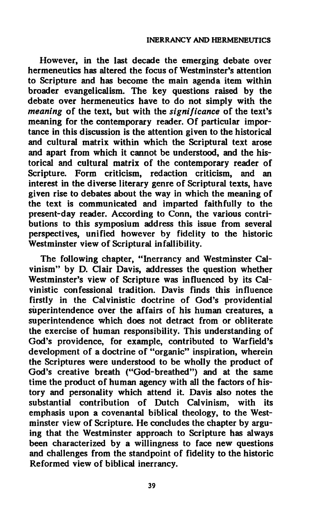**However, in the last decade the emerging debate over hermeneutics has altered the focus of Westminster's attention to Scripture and has become the main agenda item within broader evangelicalism. The key questions raised by the debate over hermeneutics have to do not simply with the**  *meaning* **of the text, but with the** *significance* **of the text's meaning for the contemporary reader. Of particular importance in this discussion is the attention given to the historical and cultural matrix within which the Scriptural text arose and apart from which it cannot be understood, and the historical and cultural matrix of the contemporary reader of Scripture. Form criticism, redaction criticism, and an interest in the diverse literary genre of Scriptural texts, have given rise to debates about the way in which the meaning of the text is communicated and imparted faithfully to the present-day reader. According to Conn, the various contributions to this symposium address this issue from several perspectives, unified however by fidelity to the historic Westminster view of Scriptural infallibility.** 

**The following chapter, "Inerrancy and Westminster Calvinism" by D. Clair Davis, addresses the question whether Westminster's view of Scripture was influenced by its Calvinistic confessional tradition. Davis finds this influence**  firstly in the Calvinistic doctrine of God's providential **superintendence over the affairs of his human creatures, a superintendence which does not detract from or obliterate the exercise of human responsibility. This understanding of God's providence, for example, contributed to Warfield's development of a doctrine of "organic" inspiration, wherein the Scriptures were understood to be wholly the product of God's creative breath ("God-breathed") and at the same time the product of human agency with all the factors of history and personality which attend it. Davis also notes the substantial contribution of Dutch Calvinism, with its emphasis upon a covenantal biblical theology, to the Westminster view of Scripture. He concludes the chapter by arguing that the Westminster approach to Scripture has always been characterized by a willingness to face new questions and challenges from the standpoint of fidelity to the historic Reformed view of biblical inerrancy.**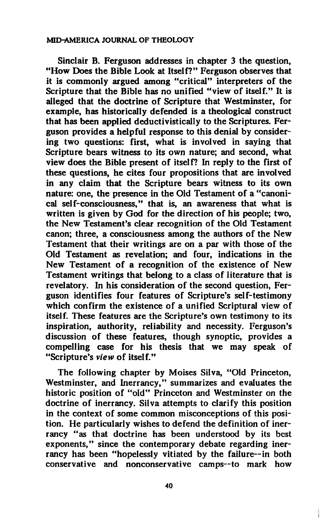**Sinclair B. Ferguson addresses in chapter 3 the question, "How Does the Bible Look at Itself?" Ferguson observes that it is commonly argued among "critical" interpreters of the Scripture that the Bible has no unified "view of itself." It is alleged that the doctrine of Scripture that Westminster, for example, has historically defended is a theological construct that has been applied deductivistically to the Scriptures. Ferguson provides a helpful response to this denial by considering two questions: first, what is involved in saying that Scripture bears witness to its own nature; and second, what view does the Bible present of itself? In reply to the first of these questions, he cites four propositions that are involved in any claim that the Scripture bears witness to its own nature: one, the presence in the Old Testament of a "canonical self-consciousness," that is, an awareness that what is written is given by God for the direction of his people; two, the New Testament's clear recognition of the Old Testament canon; three, a consciousness among the authors of the New Testament that their writings are on a par with those of the Old Testament as revelation; and four, indications in the New Testament of a recognition of the existence of New Testament writings that belong to a class of literature that is revelatory. In his consideration of the second question, Ferguson identifies four features of Scripture's self-testimony which confirm the existence of a unified Scriptural view of itself. These features are the Scripture's own testimony to its inspiration, authority, reliability and necessity. Ferguson's discussion of these features, though synoptic, provides a compelling case for his thesis that we may speak of "Scripture's** *view* **of itself."** 

**The following chapter by Moisés Silva, "Old Princeton, Westminster, and Inerrancy," summarizes and evaluates the historic position of "old" Princeton and Westminster on the doctrine of inerrancy. Silva attempts to clarify this position in the context of some common misconceptions of this position. He particularly wishes to defend the definition of inerrancy "as that doctrine has been understood by its best exponents," since the contemporary debate regarding inerrancy has been "hopelessly vitiated by the failure—in both conservative and nonconservative camps—to mark how**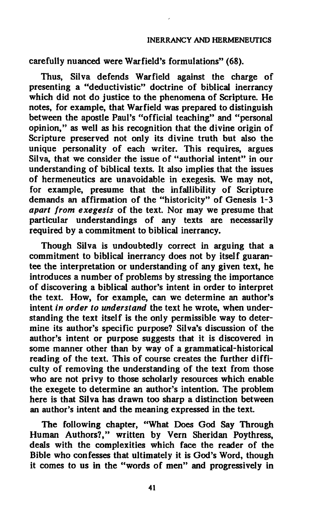# **INERRANCY AND HERMENEUTICS**

# **carefully nuanced were Warfield's formulations" (68).**

**Thus, Silva defends Warfield against the charge of presenting a "deductivistic" doctrine of biblical inerrancy which did not do justice to the phenomena of Scripture. He notes, for example, that Warfield was prepared to distinguish between the apostle Paul's "official teaching" and "personal opinion," as well as his recognition that the divine origin of Scripture preserved not only its divine truth but also the unique personality of each writer. This requires, argues Silva, that we consider the issue of "authorial intent" in our understanding of biblical texts. It also implies that the issues of hermeneutics are unavoidable in exegesis. We may not, for example, presume that the infallibility of Scripture demands an affirmation of the "historicity" of Genesis 1-3**  *apart from exegesis* **of the text. Nor may we presume that particular understandings of any texts are necessarily required by a commitment to biblical inerrancy.** 

**Though Silva is undoubtedly correct in arguing that a commitment to biblical inerrancy does not by itself guarantee the interpretation or understanding of any given text, he introduces a number of problems by stressing the importance of discovering a biblical author's intent in order to interpret the text. How, for example, can we determine an author's intent** *in order to understand* **the text he wrote, when understanding the text itself is the only permissible way to deter**mine its author's specific purpose? Silva's discussion of the **author's intent or purpose suggests that it is discovered in some manner other than by way of a grammatical-historical reading of the text. This of course creates the further difficulty of removing the understanding of the text from those who are not privy to those scholarly resources which enable the exegete to determine an author's intention. The problem here is that Silva has drawn too sharp a distinction between an author's intent and the meaning expressed in the text.** 

**The following chapter, "What Does God Say Through Human Authors?," written by Vern Sheridan Poythress, deals with the complexities which face the reader of the Bible who confesses that ultimately it is God's Word, though it comes to us in the "words of men" and progressively in**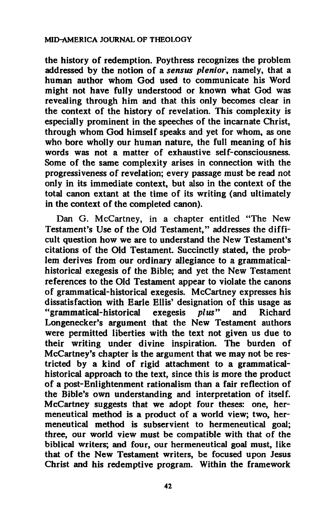**the history of redemption. Poythress recognizes the problem addressed by the notion of a** *sensus plenior,* **namely, that a human author whom God used to communicate his Word might not have fully understood or known what God was revealing through him and that this only becomes clear in the context of the history of revelation. This complexity is especially prominent in the speeches of the incarnate Christ, through whom God himself speaks and yet for whom, as one who bore wholly our human nature, the full meaning of his words was not a matter of exhaustive self-consciousness. Some of the same complexity arises in connection with the progressiveness of revelation; every passage must be read not only in its immediate context, but also in the context of the total canon extant at the time of its writing (and ultimately in the context of the completed canon).** 

**Dan G. McCartney, in a chapter entitled "The New Testament's Use of the Old Testament," addresses the difficult question how we are to understand the New Testament's citations of the Old Testament. Succinctly stated, the problem derives from our ordinary allegiance to a grammaticalhistorical exegesis of the Bible; and yet the New Testament references to the Old Testament appear to violate the canons of grammatical-historical exegesis. McCartney expresses his dissatisfaction with Earle Ellis' designation of this usage as "grammatical-historical exegesis** *plus"* **and Richard Longenecker's argument that the New Testament authors were permitted liberties with the text not given us due to their writing under divine inspiration. The burden of McCartney's chapter is the argument that we may not be restricted by a kind of rigid attachment to a grammaticalhistorical approach to the text, since this is more the product of a post-Enlightenment rationalism than a fair reflection of the Bible's own understanding and interpretation of itself. McCartney suggests that we adopt four theses: one, hermeneutical method is a product of a world view; two, hermeneutical method is subservient to hermeneutical goal; three, our world view must be compatible with that of the biblical writers; and four, our hermeneutical goal must, like that of the New Testament writers, be focused upon Jesus Christ and his redemptive program. Within the framework**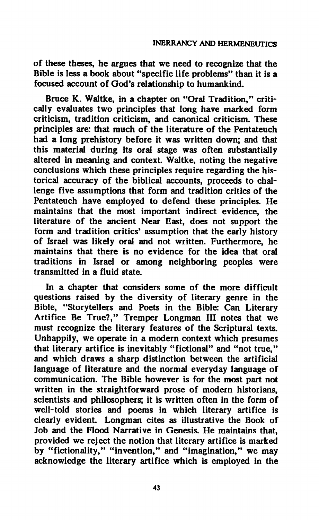**of these theses, he argues that we need to recognize that the Bible is less a book about "specific life problems" than it is a focused account of God's relationship to humankind.** 

**Bruce K. Waltke, in a chapter on "Oral Tradition," critically evaluates two principles that long have marked form criticism, tradition criticism, and canonical criticism. These principles are: that much of the literature of the Pentateuch had a long prehistory before it was written down; and that this material during its oral stage was often substantially altered in meaning and context. Waltke, noting the negative conclusions which these principles require regarding the historical accuracy of the biblical accounts, proceeds to challenge five assumptions that form and tradition critics of the Pentateuch have employed to defend these principles. He maintains that the most important indirect evidence, the literature of the ancient Near East, does not support the form and tradition critics' assumption that the early history of Israel was likely oral and not written. Furthermore, he maintains that there is no evidence for the idea that oral traditions in Israel or among neighboring peoples were transmitted in a fluid state.** 

**In a chapter that considers some of the more difficult questions raised by the diversity of literary genre in the Bible, "Storytellers and Poets in the Bible: Can Literary Artifice Be True?," Tremper Longman HI notes that we must recognize the literary features of the Scriptural texts. Unhappily, we operate in a modern context which presumes that literary artifice is inevitably "fictional" and "not true," and which draws a sharp distinction between the artificial language of literature and the normal everyday language of communication. The Bible however is for the most part not written in the straightforward prose of modern historians, scientists and philosophers; it is written often in the form of well-told stories and poems in which literary artifice is clearly evident. Longman cites as illustrative the Book of Job and the Flood Narrative in Genesis. He maintains that, provided we reject the notion that literary artifice is marked by "fictionality," "invention," and "imagination," we may acknowledge the literary artifice which is employed in the**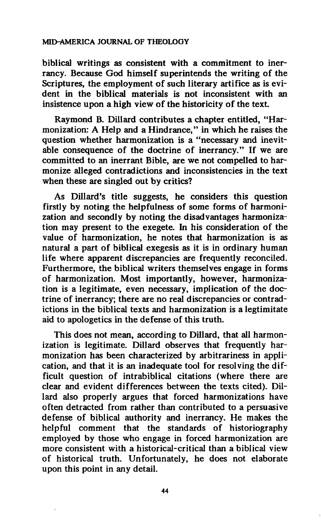**biblical writings as consistent with a commitment to inerrancy. Because God himself superintends the writing of the Scriptures, the employment of such literary artifice as is evident in the biblical materials is not inconsistent with an insistence upon a high view of the historicity of the text.** 

**Raymond B. Dillard contributes a chapter entitled, "Harmonization: A Help and a Hindrance," in which he raises the question whether harmonization is a "necessary and inevitable consequence of the doctrine of inerrancy." If we are committed to an inerrant Bible, are we not compelled to harmonize alleged contradictions and inconsistencies in the text when these are singled out by critics?** 

**As Dillard's title suggests, he considers this question firstly by noting the helpfulness of some forms of harmonization and secondly by noting the disadvantages harmonization may present to the exegete. In his consideration of the value of harmonization, he notes that harmonization is as natural a part of biblical exegesis as it is in ordinary human life where apparent discrepancies are frequently reconciled. Furthermore, the biblical writers themselves engage in forms of harmonization. Most importantly, however, harmonization is a legitimate, even necessary, implication of the doctrine of inerrancy; there are no real discrepancies or contradictions in the biblical texts and harmonization is a legtimitate aid to apologetics in the defense of this truth.** 

**This does not mean, according to Dillard, that all harmonization is legitimate. Dillard observes that frequently harmonization has been characterized by arbitrariness in application, and that it is an inadequate tool for resolving the difficult question of intrabiblical citations (where there are clear and evident differences between the texts cited). Dillard also properly argues that forced harmonizations have often detracted from rather than contributed to a persuasive defense of biblical authority and inerrancy. He makes the helpful comment that the standards of historiography employed by those who engage in forced harmonization are more consistent with a historical-critical than a biblical view of historical truth. Unfortunately, he does not elaborate upon this point in any detail.**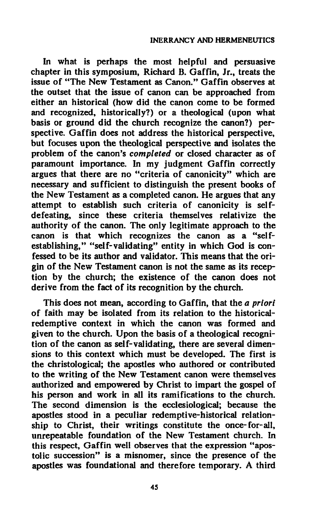**In what is perhaps the most helpful and persuasive chapter in this symposium, Richard B. Gaffin, Jr., treats the issue of "The New Testament as Canon." Gaffin observes at the outset that the issue of canon can be approached from either an historical (how did the canon come to be formed and recognized, historically?) or a theological (upon what basis or ground did the church recognize the canon?) perspective. Gaffin does not address the historical perspective, but focuses upon the theological perspective and isolates the problem of the canon's** *completed* **or closed character as of paramount importance. In my judgment Gaffin correctly argues that there are no "criteria of canonicity" which are necessary and sufficient to distinguish the present books of the New Testament as a completed canon. He argues that any attempt to establish such criteria of canonicity is selfdefeating, since these criteria themselves relativize the authority of the canon. The only legitimate approach to the canon is that which recognizes the canon as a "selfestablishing," "self-validating" entity in which God is confessed to be its author and validator. This means that the origin of the New Testament canon is not the same as its reception by the church; the existence of the canon does not derive from the fact of its recognition by the church.** 

**This does not mean, according to Gaffin, that the** *a priori*  **of faith may be isolated from its relation to the historicalredemptive context in which the canon was formed and given to the church. Upon the basis of a theological recognition of the canon as self-validating, there are several dimensions to this context which must be developed. The first is the christological; the apostles who authored or contributed to the writing of the New Testament canon were themselves authorized and empowered by Christ to impart the gospel of his person and work in all its ramifications to the church. The second dimension is the ecclesiological; because the apostles stood in a peculiar redemptive-historical relationship to Christ, their writings constitute the once-for-all, unrepeatable foundation of the New Testament church. In this respect, Gaffin well observes that the expression "apostolic succession" is a misnomer, since the presence of the apostles was foundational and therefore temporary. A third**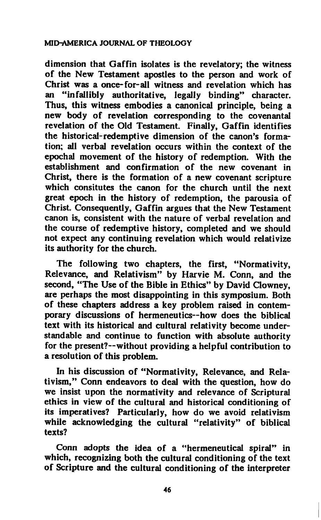**dimension that Gaffin isolates is the revelatory; the witness of the New Testament apostles to the person and work of Christ was a once-for-all witness and revelation which has an "infallibly authoritative, legally binding" character. Thus, this witness embodies a canonical principle, being a new body of revelation corresponding to the covenantal revelation of the Old Testament. Finally, Gaffin identifies the historical-redemptive dimension of the canon's formation; all verbal revelation occurs within the context of the epochal movement of the history of redemption. With the establishment and confirmation of the new covenant in Christ, there is the formation of a new covenant scripture which consitutes the canon for the church until the next great epoch in the history of redemption, the parousia of Christ. Consequently, Gaffin argues that the New Testament canon is, consistent with the nature of verbal revelation and the course of redemptive history, completed and we should not expect any continuing revelation which would relativize its authority for the church.** 

**The following two chapters, the first, "Normativity, Relevance, and Relativism" by Harvie M. Conn, and the second, "The Use of the Bible in Ethics" by David Clowney, are perhaps the most disappointing in this symposium. Both of these chapters address a key problem raised in contemporary discussions of hermeneutics—how does the biblical text with its historical and cultural relativity become understandable and continue to function with absolute authority for the present?—without providing a helpful contribution to a resolution of this problem.** 

**In his discussion of "Normativity, Relevance, and Relativism," Conn endeavors to deal with the question, how do we insist upon the normativity and relevance of Scriptural ethics in view of the cultural and historical conditioning of its imperatives? Particularly, how do we avoid relativism while acknowledging the cultural "relativity" of biblical texts?** 

**Conn adopts the idea of a "hermeneutical spiral" in which, recognizing both the cultural conditioning of the text of Scripture and the cultural conditioning of the interpreter**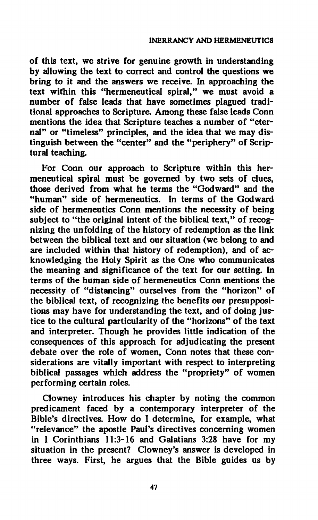**of this text, we strive for genuine growth in understanding by allowing the text to correct and control the questions we bring to it and the answers we receive. In approaching the text within this "hermeneutical spiral," we must avoid a number of false leads that have sometimes plagued traditional approaches to Scripture. Among these false leads Conn mentions the idea that Scripture teaches a number of "eternal" or "timeless" principles, and the idea that we may distinguish between the "center" and the "periphery" of Scriptural teaching.** 

**For Conn our approach to Scripture within this hermeneutical spiral must be governed by two sets of clues, those derived from what he terms the "Godward" and the "human" side of hermeneutics. In terms of the Godward side of hermeneutics Conn mentions the necessity of being subject to "the original intent of the biblical text," of recognizing the unfolding of the history of redemption as the link between the biblical text and our situation (we belong to and are included within that history of redemption), and of acknowledging the Holy Spirit as the One who communicates the meaning and significance of the text for our setting. In terms of the human side of hermeneutics Conn mentions the necessity of "distancing" ourselves from the "horizon" of the biblical text, of recognizing the benefits our presuppositions may have for understanding the text, and of doing justice to the cultural particularity of the "horizons" of the text and interpreter. Though he provides little indication of the consequences of this approach for adjudicating the present debate over the role of women, Conn notes that these considerations are vitally important with respect to interpreting biblical passages which address the "propriety" of women performing certain roles.** 

**Clowney introduces his chapter by noting the common predicament faced by a contemporary interpreter of the Bible's directives. How do I determine, for example, what "relevance" the apostle Paul's directives concerning women in I Corinthians 11:3-16 and Galatians 3:28 have for my situation in the present? Clowney's answer is developed in three ways. First, he argues that the Bible guides us by**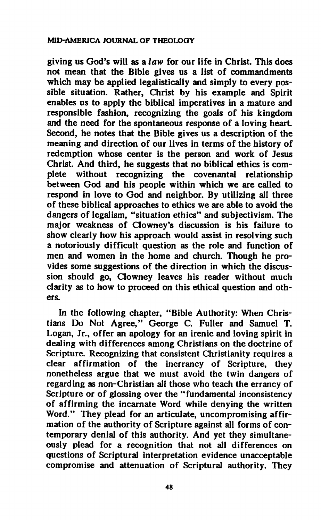**giving us God's will as a** *law* **for our life in Christ. This does not mean that the Bible gives us a list of commandments which may be applied legalistically and simply to every possible situation. Rather, Christ by his example and Spirit enables us to apply the biblical imperatives in a mature and responsible fashion, recognizing the goals of his kingdom and the need for the spontaneous response of a loving heart. Second, he notes that the Bible gives us a description of the meaning and direction of our lives in terms of the history of redemption whose center is the person and work of Jesus Christ. And third, he suggests that no biblical ethics is complete without recognizing the covenantal relationship between God and his people within which we are called to respond in love to God and neighbor. By utilizing all three of these biblical approaches to ethics we are able to avoid the dangers of legalism, "situation ethics" and subjectivism. The major weakness of Clowney's discussion is his failure to show clearly how his approach would assist in resolving such a notoriously difficult question as the role and function of men and women in the home and church. Though he provides some suggestions of the direction in which the discussion should go, Clowney leaves his reader without much clarity as to how to proceed on this ethical question and others.** 

**In the following chapter, "Bible Authority: When Christians Do Not Agree," George C. Fuller and Samuel T. Logan, Jr., offer an apology for an irenic and loving spirit in dealing with differences among Christians on the doctrine of Scripture. Recognizing that consistent Christianity requires a clear affirmation of the inerrancy of Scripture, they nonetheless argue that we must avoid the twin dangers of regarding as non-Christian all those who teach the errancy of Scripture or of glossing over the "fundamental inconsistency of affirming the incarnate Word while denying the written Word." They plead for an articulate, uncompromising affirmation of the authority of Scripture against all forms of contemporary denial of this authority. And yet they simultaneously plead for a recognition that not all differences on questions of Scriptural interpretation evidence unacceptable compromise and attenuation of Scriptural authority. They**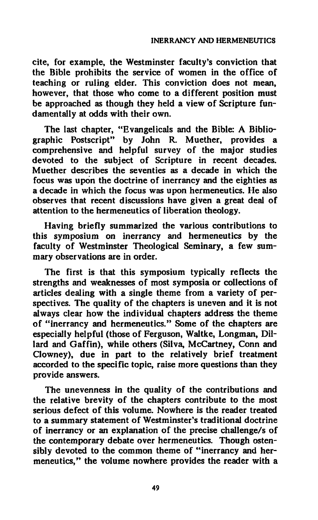**cite, for example, the Westminster faculty's conviction that the Bible prohibits the service of women in the office of teaching or ruling elder. This conviction does not mean, however, that those who come to a different position must be approached as though they held a view of Scripture fundamentally at odds with their own.** 

**The last chapter, "Evangelicals and the Bible: A Bibliographic Postscript" by John R. Muether, provides a comprehensive and helpful survey of the major studies devoted to the subject of Scripture in recent decades. Muether describes the seventies as a decade in which the focus was upon the doctrine of inerrancy and the eighties as a decade in which the focus was upon hermeneutics. He also observes that recent discussions have given a great deal of attention to the hermeneutics of liberation theology.** 

**Having briefly summarized the various contributions to this symposium on inerrancy and hermeneutics by the faculty of Westminster Theological Seminary, a few summary observations are in order.** 

**The first is that this symposium typically reflects the strengths and weaknesses of most symposia or collections of articles dealing with a single theme from a variety of perspectives. The quality of the chapters is uneven and it is not always clear how the individual chapters address the theme of "inerrancy and hermeneutics." Some of the chapters are especially helpful (those of Ferguson, Waltke, Longman, Dillard and Gaffin), while others (Silva, McCartney, Conn and Clowney), due in part to the relatively brief treatment accorded to the specific topic, raise more questions than they provide answers.** 

**The unevenness in the quality of the contributions and the relative brevity of the chapters contribute to the most serious defect of this volume. Nowhere is the reader treated to a summary statement of Westminster's traditional doctrine of inerrancy or an explanation of the precise challenge/s of the contemporary debate over hermeneutics. Though ostensibly devoted to the common theme of "inerrancy and hermeneutics," the volume nowhere provides the reader with a**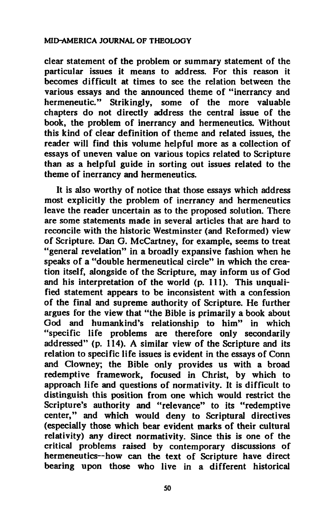**clear statement of the problem or summary statement of the particular issues it means to address. For this reason it becomes difficult at times to see the relation between the various essays and the announced theme of "inerrancy and hermeneutic." Strikingly, some of the more valuable chapters do not directly address the central issue of the book, the problem of inerrancy and hermeneutics. Without this kind of clear definition of theme and related issues, the reader will find this volume helpful more as a collection of essays of uneven value on various topics related to Scripture than as a helpful guide in sorting out issues related to the theme of inerrancy and hermeneutics.** 

**It is also worthy of notice that those essays which address most explicitly the problem of inerrancy and hermeneutics leave the reader uncertain as to the proposed solution. There are some statements made in several articles that are hard to reconcile with the historic Westminster (and Reformed) view of Scripture. Dan G. McCartney, for example, seems to treat "general revelation" in a broadly expansive fashion when he speaks of a "double hermeneutical circle" in which the creation itself, alongside of the Scripture, may inform us of God and his interpretation of the world (p. 111). This unqualified statement appears to be inconsistent with a confession of the final and supreme authority of Scripture. He further argues for the view that "the Bible is primarily a book about God and humankind's relationship to him" in which "specific life problems are therefore only secondarily addressed" (p. 114). A similar view of the Scripture and its relation to specific life issues is evident in the essays of Conn and Clowney; the Bible only provides us with a broad redemptive framework, focused in Christ, by which to approach life and questions of normativity. It is difficult to distinguish this position from one which would restrict the Scripture's authority and "relevance" to its "redemptive center," and which would deny to Scriptural directives (especially those which bear evident marks of their cultural relativity) any direct normativity. Since this is one of the critical problems raised by contemporary discussions of hermeneutics—how can the text of Scripture have direct bearing upon those who live in a different historical**